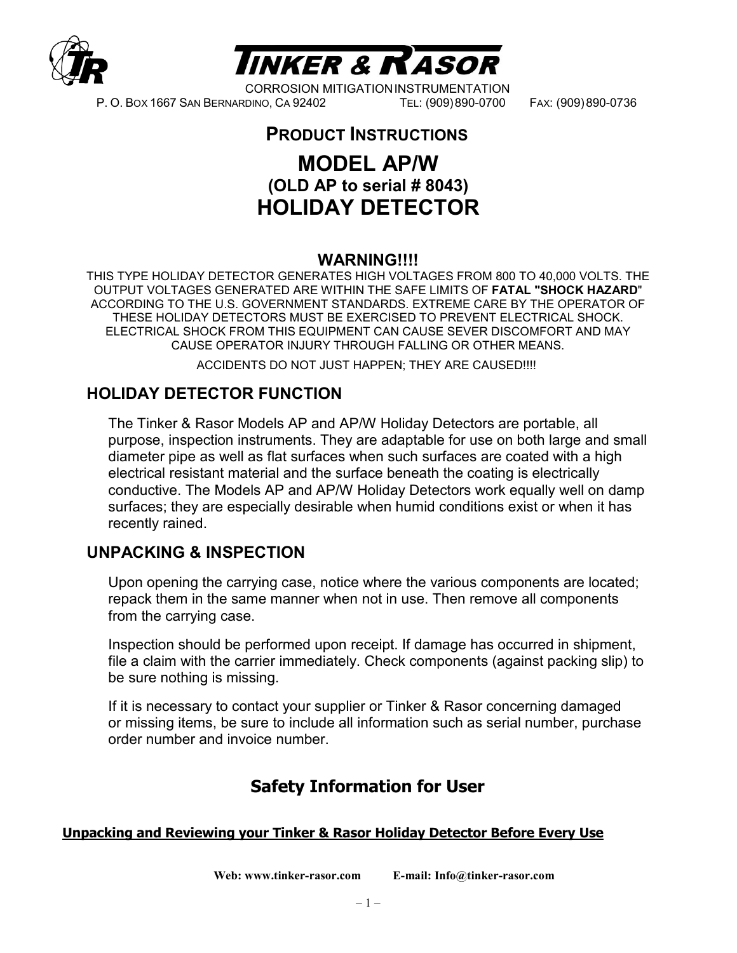



CORROSION MITIGATIONINSTRUMENTATION P. O. BOX 1667 SAN BERNARDINO, CA 92402 TEL: (909)890-0700 FAX: (909)890-0736

## **PRODUCT INSTRUCTIONS**

# **MODEL AP/W (OLD AP to serial # 8043) HOLIDAY DETECTOR**

#### **WARNING!!!!**

THIS TYPE HOLIDAY DETECTOR GENERATES HIGH VOLTAGES FROM 800 TO 40,000 VOLTS. THE OUTPUT VOLTAGES GENERATED ARE WITHIN THE SAFE LIMITS OF **FATAL "SHOCK HAZARD**" ACCORDING TO THE U.S. GOVERNMENT STANDARDS. EXTREME CARE BY THE OPERATOR OF THESE HOLIDAY DETECTORS MUST BE EXERCISED TO PREVENT ELECTRICAL SHOCK. ELECTRICAL SHOCK FROM THIS EQUIPMENT CAN CAUSE SEVER DISCOMFORT AND MAY CAUSE OPERATOR INJURY THROUGH FALLING OR OTHER MEANS.

ACCIDENTS DO NOT JUST HAPPEN; THEY ARE CAUSED!!!!

## **HOLIDAY DETECTOR FUNCTION**

The Tinker & Rasor Models AP and AP/W Holiday Detectors are portable, all purpose, inspection instruments. They are adaptable for use on both large and small diameter pipe as well as flat surfaces when such surfaces are coated with a high electrical resistant material and the surface beneath the coating is electrically conductive. The Models AP and AP/W Holiday Detectors work equally well on damp surfaces; they are especially desirable when humid conditions exist or when it has recently rained.

#### **UNPACKING & INSPECTION**

Upon opening the carrying case, notice where the various components are located; repack them in the same manner when not in use. Then remove all components from the carrying case.

Inspection should be performed upon receipt. If damage has occurred in shipment, file a claim with the carrier immediately. Check components (against packing slip) to be sure nothing is missing.

If it is necessary to contact your supplier or Tinker & Rasor concerning damaged or missing items, be sure to include all information such as serial number, purchase order number and invoice number.

# **Safety Information for User**

#### **Unpacking and Reviewing your Tinker & Rasor Holiday Detector Before Every Use**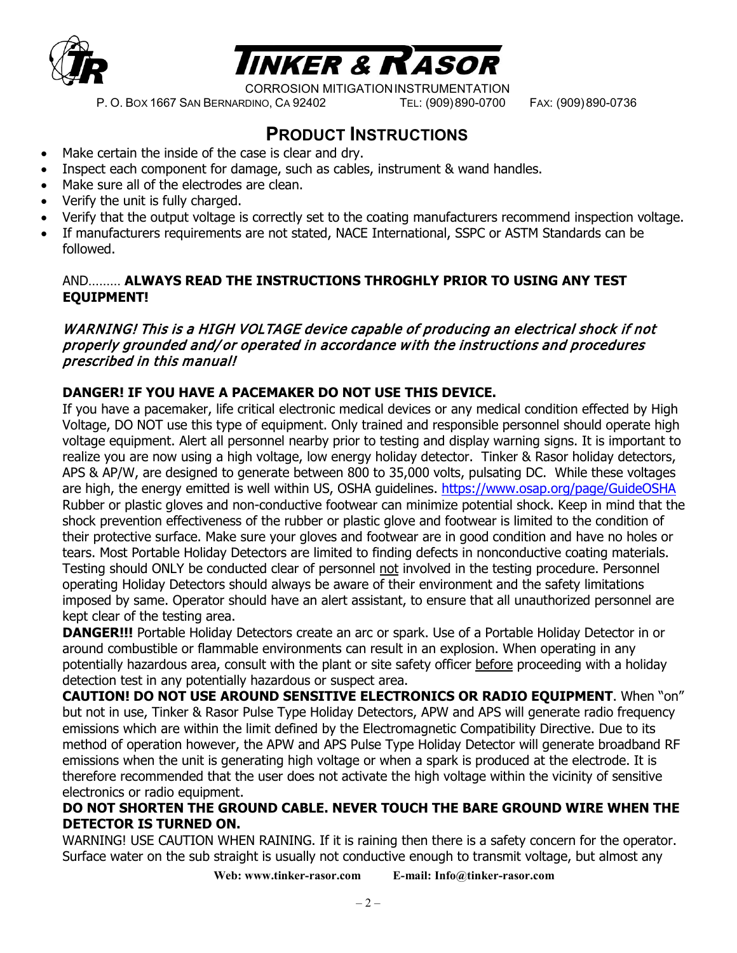



P. O. BOX 1667 SAN BERNARDINO, CA 92402 TEL: (909)890-0700 FAX: (909)890-0736

# **PRODUCT INSTRUCTIONS**

- Make certain the inside of the case is clear and dry.
- Inspect each component for damage, such as cables, instrument & wand handles.
- Make sure all of the electrodes are clean.
- Verify the unit is fully charged.
- Verify that the output voltage is correctly set to the coating manufacturers recommend inspection voltage.
- If manufacturers requirements are not stated, NACE International, SSPC or ASTM Standards can be followed.

#### AND……… **ALWAYS READ THE INSTRUCTIONS THROGHLY PRIOR TO USING ANY TEST EQUIPMENT!**

#### WARNING! This is a HIGH VOLTAGE device capable of producing an electrical shock if not properly grounded and/or operated in accordance with the instructions and procedures prescribed in this manual!

#### **DANGER! IF YOU HAVE A PACEMAKER DO NOT USE THIS DEVICE.**

If you have a pacemaker, life critical electronic medical devices or any medical condition effected by High Voltage, DO NOT use this type of equipment. Only trained and responsible personnel should operate high voltage equipment. Alert all personnel nearby prior to testing and display warning signs. It is important to realize you are now using a high voltage, low energy holiday detector. Tinker & Rasor holiday detectors, APS & AP/W, are designed to generate between 800 to 35,000 volts, pulsating DC. While these voltages are high, the energy emitted is well within US, OSHA guidelines.<https://www.osap.org/page/GuideOSHA> Rubber or plastic gloves and non-conductive footwear can minimize potential shock. Keep in mind that the shock prevention effectiveness of the rubber or plastic glove and footwear is limited to the condition of their protective surface. Make sure your gloves and footwear are in good condition and have no holes or tears. Most Portable Holiday Detectors are limited to finding defects in nonconductive coating materials. Testing should ONLY be conducted clear of personnel not involved in the testing procedure. Personnel operating Holiday Detectors should always be aware of their environment and the safety limitations imposed by same. Operator should have an alert assistant, to ensure that all unauthorized personnel are kept clear of the testing area.

**DANGER!!!** Portable Holiday Detectors create an arc or spark. Use of a Portable Holiday Detector in or around combustible or flammable environments can result in an explosion. When operating in any potentially hazardous area, consult with the plant or site safety officer before proceeding with a holiday detection test in any potentially hazardous or suspect area.

**CAUTION! DO NOT USE AROUND SENSITIVE ELECTRONICS OR RADIO EQUIPMENT**. When "on" but not in use, Tinker & Rasor Pulse Type Holiday Detectors, APW and APS will generate radio frequency emissions which are within the limit defined by the Electromagnetic Compatibility Directive. Due to its method of operation however, the APW and APS Pulse Type Holiday Detector will generate broadband RF emissions when the unit is generating high voltage or when a spark is produced at the electrode. It is therefore recommended that the user does not activate the high voltage within the vicinity of sensitive electronics or radio equipment.

#### **DO NOT SHORTEN THE GROUND CABLE. NEVER TOUCH THE BARE GROUND WIRE WHEN THE DETECTOR IS TURNED ON.**

WARNING! USE CAUTION WHEN RAINING. If it is raining then there is a safety concern for the operator. Surface water on the sub straight is usually not conductive enough to transmit voltage, but almost any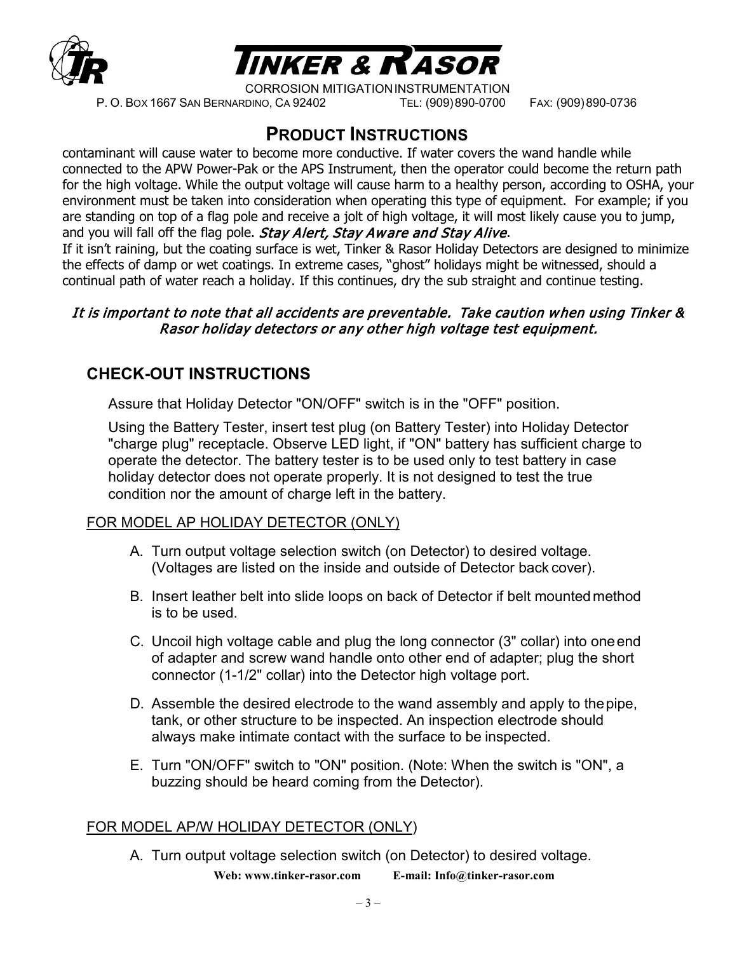



CORROSION MITIGATIONINSTRUMENTATION P. O. BOX 1667 SAN BERNARDINO, CA 92402 TEL: (909)890-0700 FAX: (909)890-0736

# **PRODUCT INSTRUCTIONS**

contaminant will cause water to become more conductive. If water covers the wand handle while connected to the APW Power-Pak or the APS Instrument, then the operator could become the return path for the high voltage. While the output voltage will cause harm to a healthy person, according to OSHA, your environment must be taken into consideration when operating this type of equipment. For example; if you are standing on top of a flag pole and receive a jolt of high voltage, it will most likely cause you to jump, and you will fall off the flag pole. Stay Alert, Stay Aware and Stay Alive. If it isn't raining, but the coating surface is wet, Tinker & Rasor Holiday Detectors are designed to minimize the effects of damp or wet coatings. In extreme cases, "ghost" holidays might be witnessed, should a continual path of water reach a holiday. If this continues, dry the sub straight and continue testing.

#### It is important to note that all accidents are preventable. Take caution when using Tinker & Rasor holiday detectors or any other high voltage test equipment.

## **CHECK-OUT INSTRUCTIONS**

Assure that Holiday Detector "ON/OFF" switch is in the "OFF" position.

Using the Battery Tester, insert test plug (on Battery Tester) into Holiday Detector "charge plug" receptacle. Observe LED light, if "ON" battery has sufficient charge to operate the detector. The battery tester is to be used only to test battery in case holiday detector does not operate properly. It is not designed to test the true condition nor the amount of charge left in the battery.

#### FOR MODEL AP HOLIDAY DETECTOR (ONLY)

- A. Turn output voltage selection switch (on Detector) to desired voltage. (Voltages are listed on the inside and outside of Detector back cover).
- B. Insert leather belt into slide loops on back of Detector if belt mounted method is to be used.
- C. Uncoil high voltage cable and plug the long connector (3" collar) into oneend of adapter and screw wand handle onto other end of adapter; plug the short connector (1-1/2" collar) into the Detector high voltage port.
- D. Assemble the desired electrode to the wand assembly and apply to thepipe, tank, or other structure to be inspected. An inspection electrode should always make intimate contact with the surface to be inspected.
- E. Turn "ON/OFF" switch to "ON" position. (Note: When the switch is "ON", a buzzing should be heard coming from the Detector).

#### FOR MODEL AP/W HOLIDAY DETECTOR (ONLY)

**Web: [www.tinker-rasor.com](http://www.tinker-rasor.com/) E-mail: [Info@tinker-rasor.com](mailto:Info@tinker-rasor.com)** A. Turn output voltage selection switch (on Detector) to desired voltage.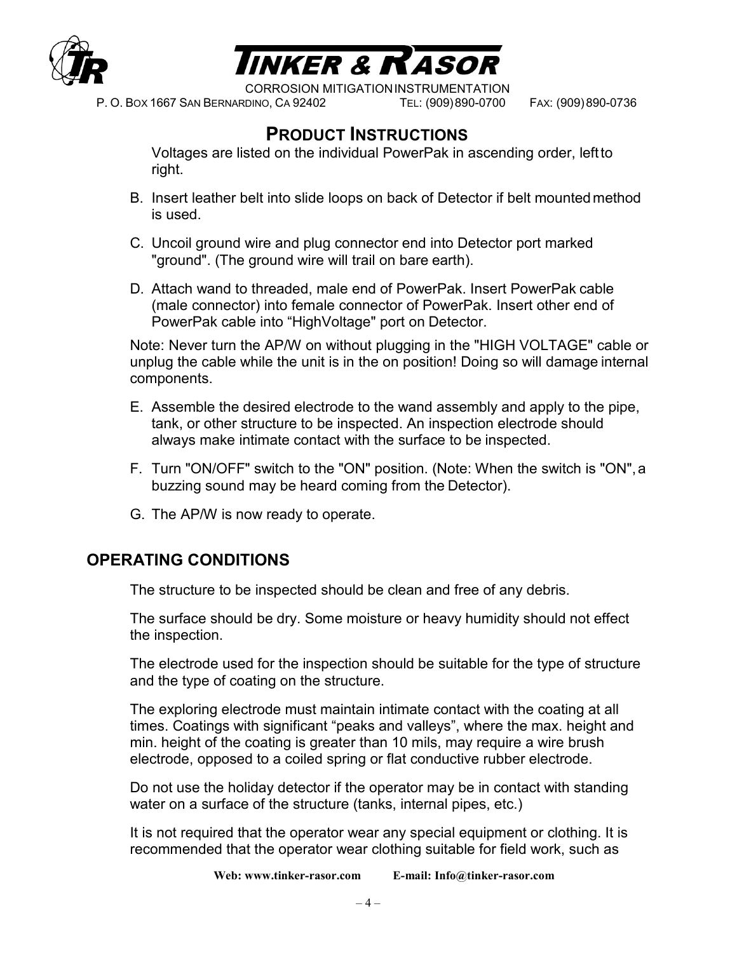



P. O. BOX 1667 SAN BERNARDINO, CA 92402 TEL: (909)890-0700 FAX: (909)890-0736

# **PRODUCT INSTRUCTIONS**

Voltages are listed on the individual PowerPak in ascending order, leftto right.

- B. Insert leather belt into slide loops on back of Detector if belt mounted method is used.
- C. Uncoil ground wire and plug connector end into Detector port marked "ground". (The ground wire will trail on bare earth).
- D. Attach wand to threaded, male end of PowerPak. Insert PowerPak cable (male connector) into female connector of PowerPak. Insert other end of PowerPak cable into "HighVoltage" port on Detector.

Note: Never turn the AP/W on without plugging in the "HIGH VOLTAGE" cable or unplug the cable while the unit is in the on position! Doing so will damage internal components.

- E. Assemble the desired electrode to the wand assembly and apply to the pipe, tank, or other structure to be inspected. An inspection electrode should always make intimate contact with the surface to be inspected.
- F. Turn "ON/OFF" switch to the "ON" position. (Note: When the switch is "ON",a buzzing sound may be heard coming from the Detector).
- G. The AP/W is now ready to operate.

## **OPERATING CONDITIONS**

The structure to be inspected should be clean and free of any debris.

The surface should be dry. Some moisture or heavy humidity should not effect the inspection.

The electrode used for the inspection should be suitable for the type of structure and the type of coating on the structure.

The exploring electrode must maintain intimate contact with the coating at all times. Coatings with significant "peaks and valleys", where the max. height and min. height of the coating is greater than 10 mils, may require a wire brush electrode, opposed to a coiled spring or flat conductive rubber electrode.

Do not use the holiday detector if the operator may be in contact with standing water on a surface of the structure (tanks, internal pipes, etc.)

It is not required that the operator wear any special equipment or clothing. It is recommended that the operator wear clothing suitable for field work, such as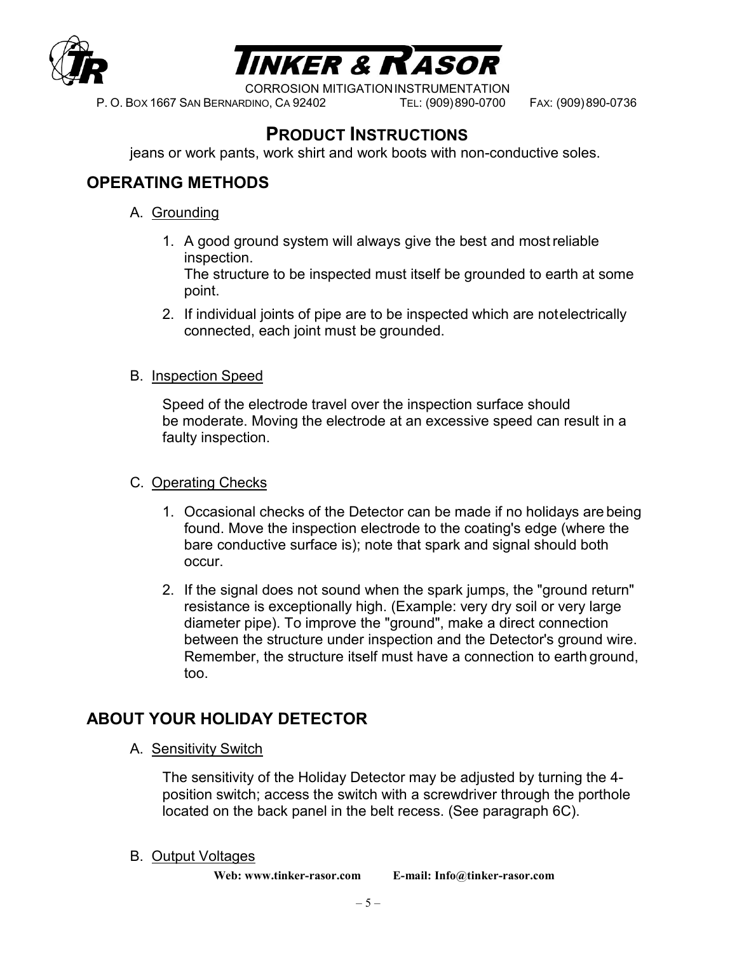



P. O. BOX 1667 SAN BERNARDINO, CA 92402 TEL: (909)890-0700 FAX: (909)890-0736

# **PRODUCT INSTRUCTIONS**

jeans or work pants, work shirt and work boots with non-conductive soles.

## **OPERATING METHODS**

- A. Grounding
	- 1. A good ground system will always give the best and mostreliable inspection.

The structure to be inspected must itself be grounded to earth at some point.

2. If individual joints of pipe are to be inspected which are notelectrically connected, each joint must be grounded.

#### B. Inspection Speed

Speed of the electrode travel over the inspection surface should be moderate. Moving the electrode at an excessive speed can result in a faulty inspection.

#### C. Operating Checks

- 1. Occasional checks of the Detector can be made if no holidays are being found. Move the inspection electrode to the coating's edge (where the bare conductive surface is); note that spark and signal should both occur.
- 2. If the signal does not sound when the spark jumps, the "ground return" resistance is exceptionally high. (Example: very dry soil or very large diameter pipe). To improve the "ground", make a direct connection between the structure under inspection and the Detector's ground wire. Remember, the structure itself must have a connection to earth ground, too.

## **ABOUT YOUR HOLIDAY DETECTOR**

A. Sensitivity Switch

The sensitivity of the Holiday Detector may be adjusted by turning the 4 position switch; access the switch with a screwdriver through the porthole located on the back panel in the belt recess. (See paragraph 6C).

B. Output Voltages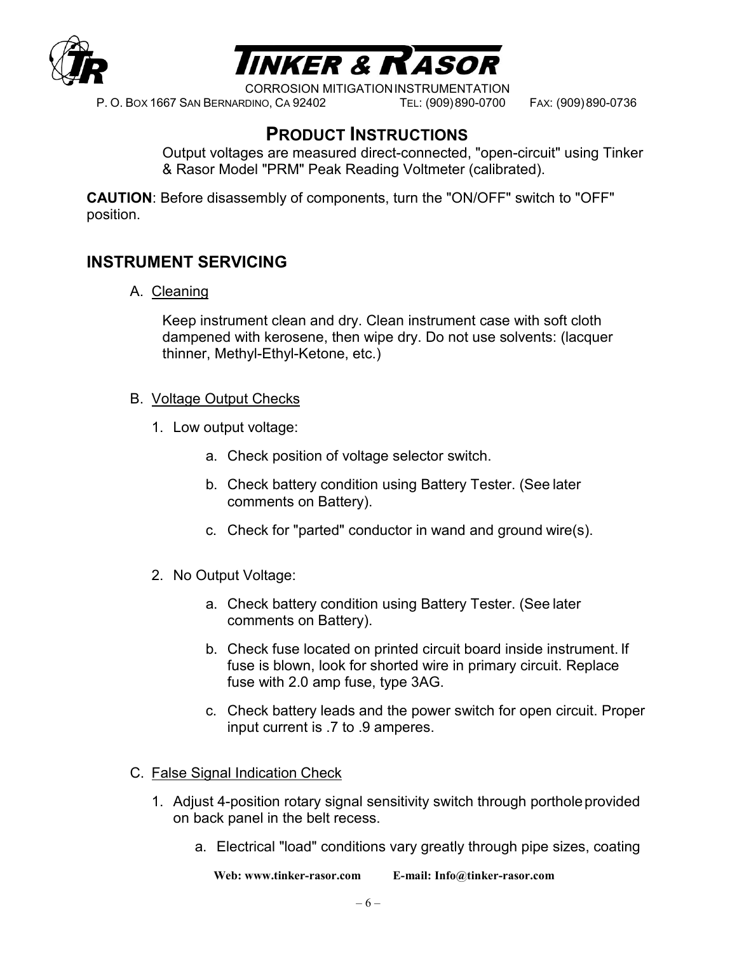



P. O. BOX 1667 SAN BERNARDINO, CA 92402 TEL: (909)890-0700 FAX: (909)890-0736

# **PRODUCT INSTRUCTIONS**

Output voltages are measured direct-connected, "open-circuit" using Tinker & Rasor Model "PRM" Peak Reading Voltmeter (calibrated).

**CAUTION**: Before disassembly of components, turn the "ON/OFF" switch to "OFF" position.

#### **INSTRUMENT SERVICING**

A. Cleaning

Keep instrument clean and dry. Clean instrument case with soft cloth dampened with kerosene, then wipe dry. Do not use solvents: (lacquer thinner, Methyl-Ethyl-Ketone, etc.)

- B. Voltage Output Checks
	- 1. Low output voltage:
		- a. Check position of voltage selector switch.
		- b. Check battery condition using Battery Tester. (See later comments on Battery).
		- c. Check for "parted" conductor in wand and ground wire(s).
	- 2. No Output Voltage:
		- a. Check battery condition using Battery Tester. (See later comments on Battery).
		- b. Check fuse located on printed circuit board inside instrument. If fuse is blown, look for shorted wire in primary circuit. Replace fuse with 2.0 amp fuse, type 3AG.
		- c. Check battery leads and the power switch for open circuit. Proper input current is .7 to .9 amperes.
- C. False Signal Indication Check
	- 1. Adjust 4-position rotary signal sensitivity switch through portholeprovided on back panel in the belt recess.
		- a. Electrical "load" conditions vary greatly through pipe sizes, coating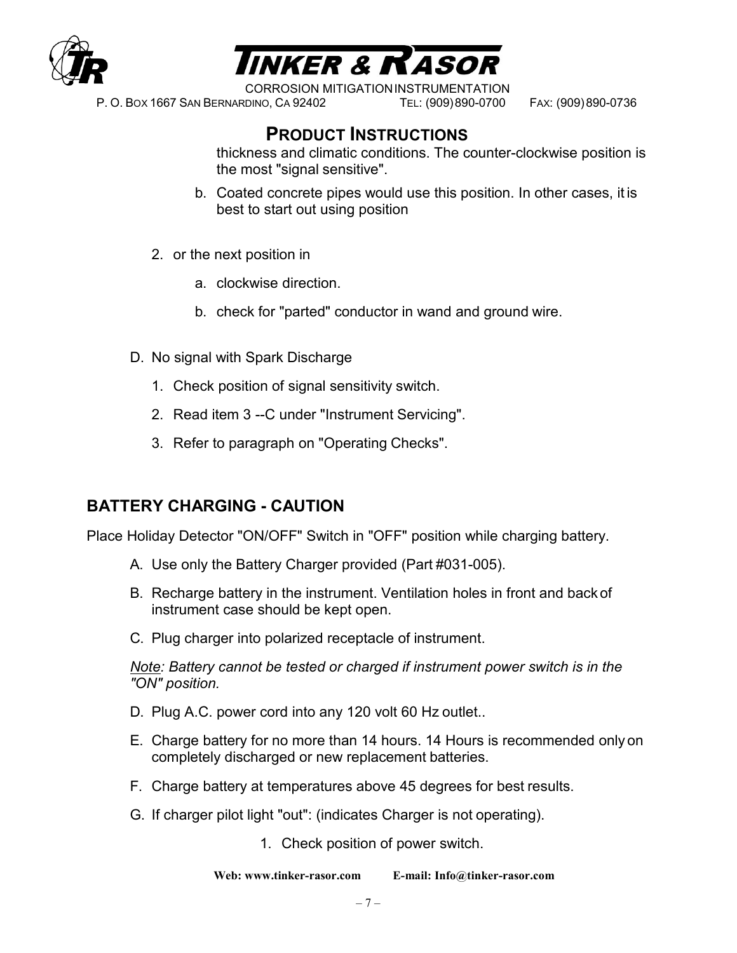



P. O. BOX 1667 SAN BERNARDINO, CA 92402 TEL: (909)890-0700 FAX: (909)890-0736

# **PRODUCT INSTRUCTIONS**

thickness and climatic conditions. The counter-clockwise position is the most "signal sensitive".

- b. Coated concrete pipes would use this position. In other cases, it is best to start out using position
- 2. or the next position in
	- a. clockwise direction.
	- b. check for "parted" conductor in wand and ground wire.
- D. No signal with Spark Discharge
	- 1. Check position of signal sensitivity switch.
	- 2. Read item 3 --C under "Instrument Servicing".
	- 3. Refer to paragraph on "Operating Checks".

#### **BATTERY CHARGING - CAUTION**

Place Holiday Detector "ON/OFF" Switch in "OFF" position while charging battery.

- A. Use only the Battery Charger provided (Part #031-005).
- B. Recharge battery in the instrument. Ventilation holes in front and back of instrument case should be kept open.
- C. Plug charger into polarized receptacle of instrument.

*Note: Battery cannot be tested or charged if instrument power switch is in the "ON" position.*

- D. Plug A.C. power cord into any 120 volt 60 Hz outlet..
- E. Charge battery for no more than 14 hours. 14 Hours is recommended only on completely discharged or new replacement batteries.
- F. Charge battery at temperatures above 45 degrees for best results.
- G. If charger pilot light "out": (indicates Charger is not operating).
	- 1. Check position of power switch.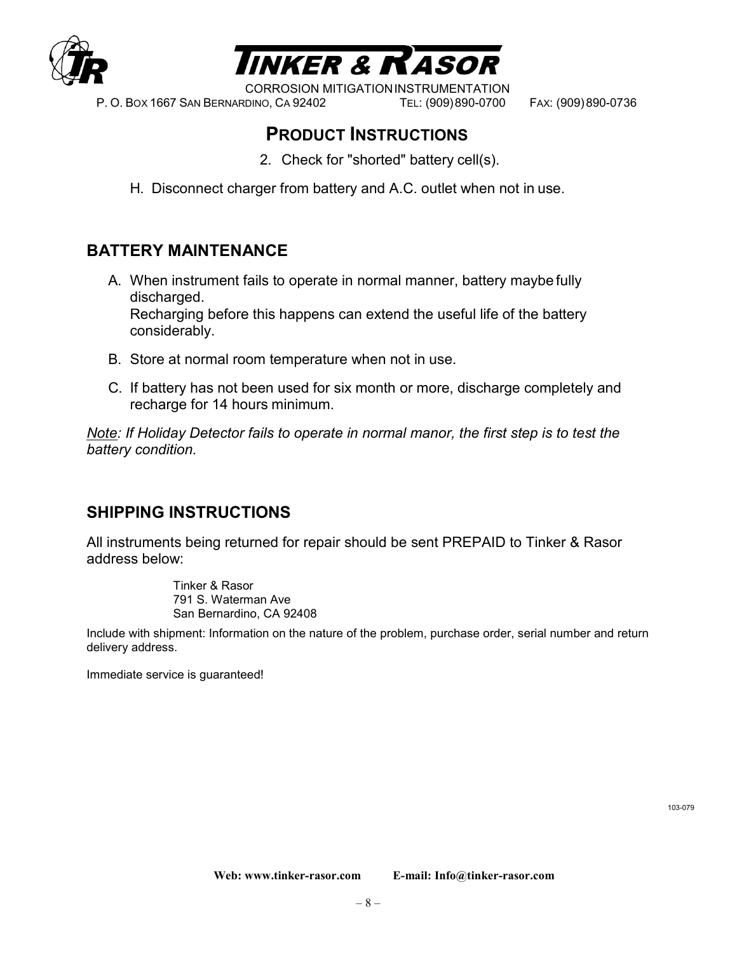

# **INKER & RASOR**

CORROSION MITIGATIONINSTRUMENTATION

P. O. BOX 1667 SAN BERNARDINO, CA 92402 TEL: (909)890-0700 FAX: (909)890-0736

# **PRODUCT INSTRUCTIONS**

- 2. Check for "shorted" battery cell(s).
- H. Disconnect charger from battery and A.C. outlet when not in use.

#### **BATTERY MAINTENANCE**

- A. When instrument fails to operate in normal manner, battery maybe fully discharged. Recharging before this happens can extend the useful life of the battery considerably.
- B. Store at normal room temperature when not in use.
- C. If battery has not been used for six month or more, discharge completely and recharge for 14 hours minimum.

*Note: If Holiday Detector fails to operate in normal manor, the first step is to test the battery condition.*

## **SHIPPING INSTRUCTIONS**

All instruments being returned for repair should be sent PREPAID to Tinker & Rasor address below:

> Tinker & Rasor 791 S. Waterman Ave San Bernardino, CA 92408

Include with shipment: Information on the nature of the problem, purchase order, serial number and return delivery address.

Immediate service is guaranteed!